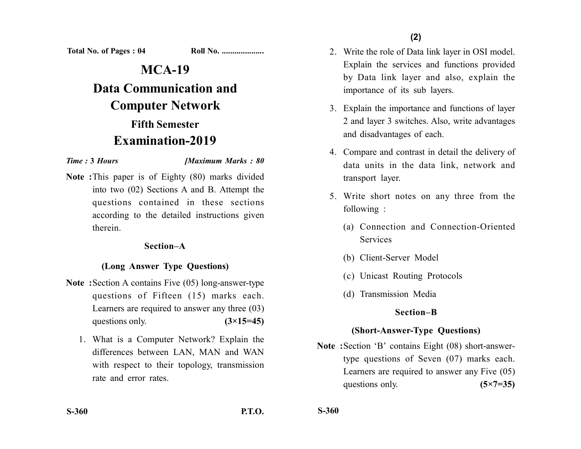**Total No. of Pages : 04 Roll No. ...................** 

# **MCA-19**

**Data Communication and Computer Network Fifth Semester Examination-2019**

*Time :* **3** *Hours [Maximum Marks : 80*

**Note :**This paper is of Eighty (80) marks divided into two (02) Sections A and B. Attempt the questions contained in these sections according to the detailed instructions given therein.

## **Section–A**

## **(Long Answer Type Questions)**

- **Note :**Section A contains Five (05) long-answer-type questions of Fifteen (15) marks each. Learners are required to answer any three (03) questions only.  $(3\times15=45)$ 
	- 1. What is a Computer Network? Explain the differences between LAN, MAN and WAN with respect to their topology, transmission rate and error rates.
- 2. Write the role of Data link layer in OSI model. Explain the services and functions provided by Data link layer and also, explain the importance of its sub layers.
- 3. Explain the importance and functions of layer 2 and layer 3 switches. Also, write advantages and disadvantages of each.
- 4. Compare and contrast in detail the delivery of data units in the data link, network and transport layer.
- 5. Write short notes on any three from the following :
	- (a) Connection and Connection-Oriented Services
	- (b) Client-Server Model
	- (c) Unicast Routing Protocols
	- (d) Transmission Media

## **Section–B**

## **(Short-Answer-Type Questions)**

**Note :**Section 'B' contains Eight (08) short-answertype questions of Seven (07) marks each. Learners are required to answer any Five (05) questions only. **(5×7=35)** 

**S-360**